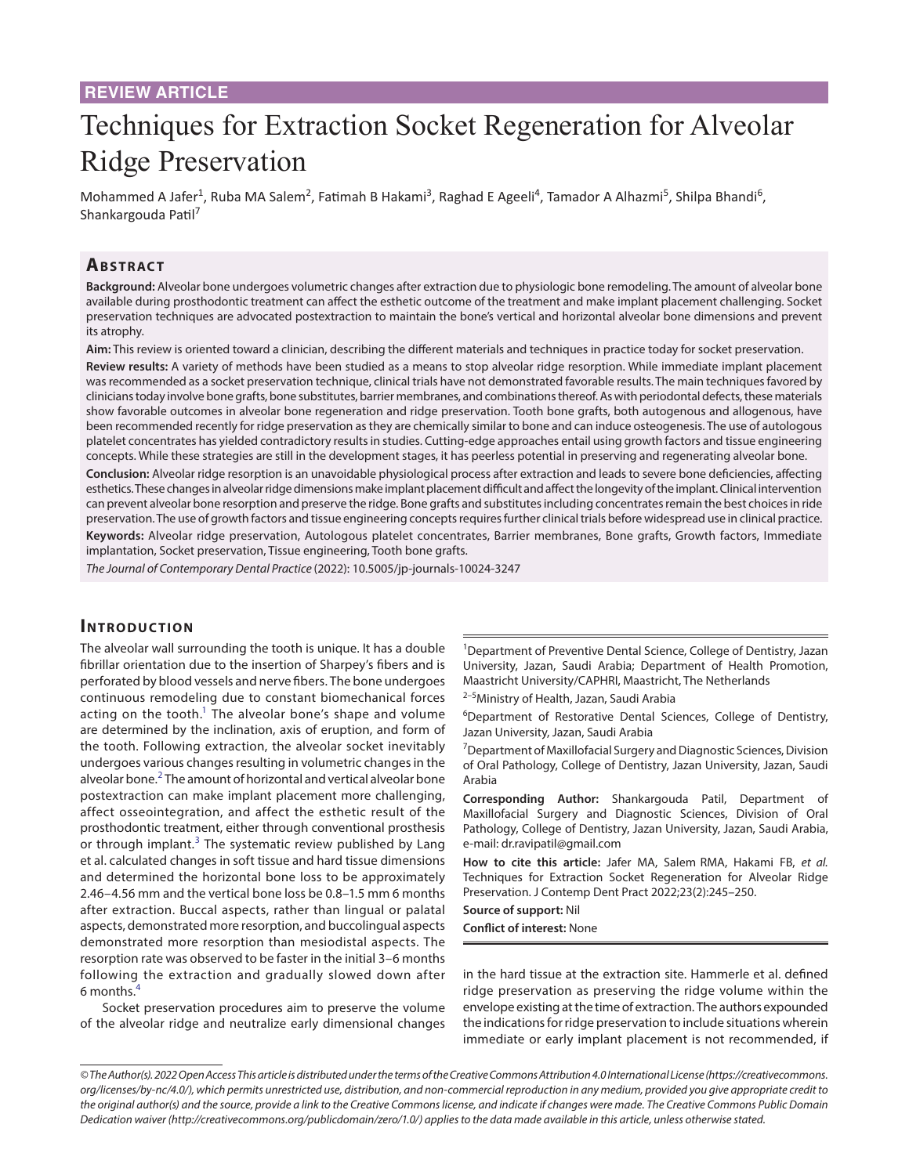# Techniques for Extraction Socket Regeneration for Alveolar Ridge Preservation

Mohammed A Jafer<sup>1</sup>, Ruba MA Salem<sup>2</sup>, Fatimah B Hakami<sup>3</sup>, Raghad E Ageeli<sup>4</sup>, Tamador A Alhazmi<sup>5</sup>, Shilpa Bhandi<sup>6</sup>, Shankargouda Patil<sup>7</sup>

#### **ABSTRACT**

**Background:** Alveolar bone undergoes volumetric changes after extraction due to physiologic bone remodeling. The amount of alveolar bone available during prosthodontic treatment can affect the esthetic outcome of the treatment and make implant placement challenging. Socket preservation techniques are advocated postextraction to maintain the bone's vertical and horizontal alveolar bone dimensions and prevent its atrophy.

**Aim:** This review is oriented toward a clinician, describing the different materials and techniques in practice today for socket preservation.

**Review results:** A variety of methods have been studied as a means to stop alveolar ridge resorption. While immediate implant placement was recommended as a socket preservation technique, clinical trials have not demonstrated favorable results. The main techniques favored by clinicians today involve bone grafts, bone substitutes, barrier membranes, and combinations thereof. As with periodontal defects, these materials show favorable outcomes in alveolar bone regeneration and ridge preservation. Tooth bone grafts, both autogenous and allogenous, have been recommended recently for ridge preservation as they are chemically similar to bone and can induce osteogenesis. The use of autologous platelet concentrates has yielded contradictory results in studies. Cutting-edge approaches entail using growth factors and tissue engineering concepts. While these strategies are still in the development stages, it has peerless potential in preserving and regenerating alveolar bone.

**Conclusion:** Alveolar ridge resorption is an unavoidable physiological process after extraction and leads to severe bone deficiencies, affecting esthetics. These changes in alveolar ridge dimensions make implant placement difficult and affect the longevity of the implant. Clinical intervention can prevent alveolar bone resorption and preserve the ridge. Bone grafts and substitutes including concentrates remain the best choices in ride preservation. The use of growth factors and tissue engineering concepts requires further clinical trials before widespread use in clinical practice. **Keywords:** Alveolar ridge preservation, Autologous platelet concentrates, Barrier membranes, Bone grafts, Growth factors, Immediate

implantation, Socket preservation, Tissue engineering, Tooth bone grafts.

*The Journal of Contemporary Dental Practice* (2022): 10.5005/jp-journals-10024-3247

#### **INTRODUCTION**

The alveolar wall surrounding the tooth is unique. It has a double fibrillar orientation due to the insertion of Sharpey's fibers and is perforated by blood vessels and nerve fibers. The bone undergoes continuous remodeling due to constant biomechanical forces acting on the tooth.<sup>1</sup> The alveolar bone's shape and volume are determined by the inclination, axis of eruption, and form of the tooth. Following extraction, the alveolar socket inevitably undergoes various changes resulting in volumetric changes in the alveolar bone. $^2$  $^2$  The amount of horizontal and vertical alveolar bone postextraction can make implant placement more challenging, affect osseointegration, and affect the esthetic result of the prosthodontic treatment, either through conventional prosthesis or through implant.<sup>[3](#page-4-2)</sup> The systematic review published by Lang et al. calculated changes in soft tissue and hard tissue dimensions and determined the horizontal bone loss to be approximately 2.46–4.56 mm and the vertical bone loss be 0.8–1.5 mm 6 months after extraction. Buccal aspects, rather than lingual or palatal aspects, demonstrated more resorption, and buccolingual aspects demonstrated more resorption than mesiodistal aspects. The resorption rate was observed to be faster in the initial 3–6 months following the extraction and gradually slowed down after 6 months.[4](#page-4-3)

Socket preservation procedures aim to preserve the volume of the alveolar ridge and neutralize early dimensional changes <sup>1</sup>Department of Preventive Dental Science, College of Dentistry, Jazan University, Jazan, Saudi Arabia; Department of Health Promotion, Maastricht University/CAPHRI, Maastricht, The Netherlands

<sup>2-5</sup>Ministry of Health, Jazan, Saudi Arabia

<sup>6</sup>Department of Restorative Dental Sciences, College of Dentistry, Jazan University, Jazan, Saudi Arabia

7 Department of Maxillofacial Surgery and Diagnostic Sciences, Division of Oral Pathology, College of Dentistry, Jazan University, Jazan, Saudi Arabia

**Corresponding Author:** Shankargouda Patil, Department of Maxillofacial Surgery and Diagnostic Sciences, Division of Oral Pathology, College of Dentistry, Jazan University, Jazan, Saudi Arabia, e-mail: dr.ravipatil@gmail.com

**How to cite this article:** Jafer MA, Salem RMA, Hakami FB, *et al.*  Techniques for Extraction Socket Regeneration for Alveolar Ridge Preservation. J Contemp Dent Pract 2022;23(2):245–250.

**Source of support:** Nil

**Conflict of interest:** None

in the hard tissue at the extraction site. Hammerle et al. defined ridge preservation as preserving the ridge volume within the envelope existing at the time of extraction. The authors expounded the indications for ridge preservation to include situations wherein immediate or early implant placement is not recommended, if

*<sup>©</sup> The Author(s). 2022 Open Access This article is distributed under the terms of the Creative Commons Attribution 4.0 International License ([https://creativecommons.](https://creativecommons. org/licenses/by-nc/4.0/)  [org/licenses/by-nc/4.0/](https://creativecommons. org/licenses/by-nc/4.0/)), which permits unrestricted use, distribution, and non-commercial reproduction in any medium, provided you give appropriate credit to the original author(s) and the source, provide a link to the Creative Commons license, and indicate if changes were made. The Creative Commons Public Domain Dedication waiver ([http://creativecommons.org/publicdomain/zero/1.0/\)](http://creativecommons.org/publicdomain/zero/1.0/) applies to the data made available in this article, unless otherwise stated.*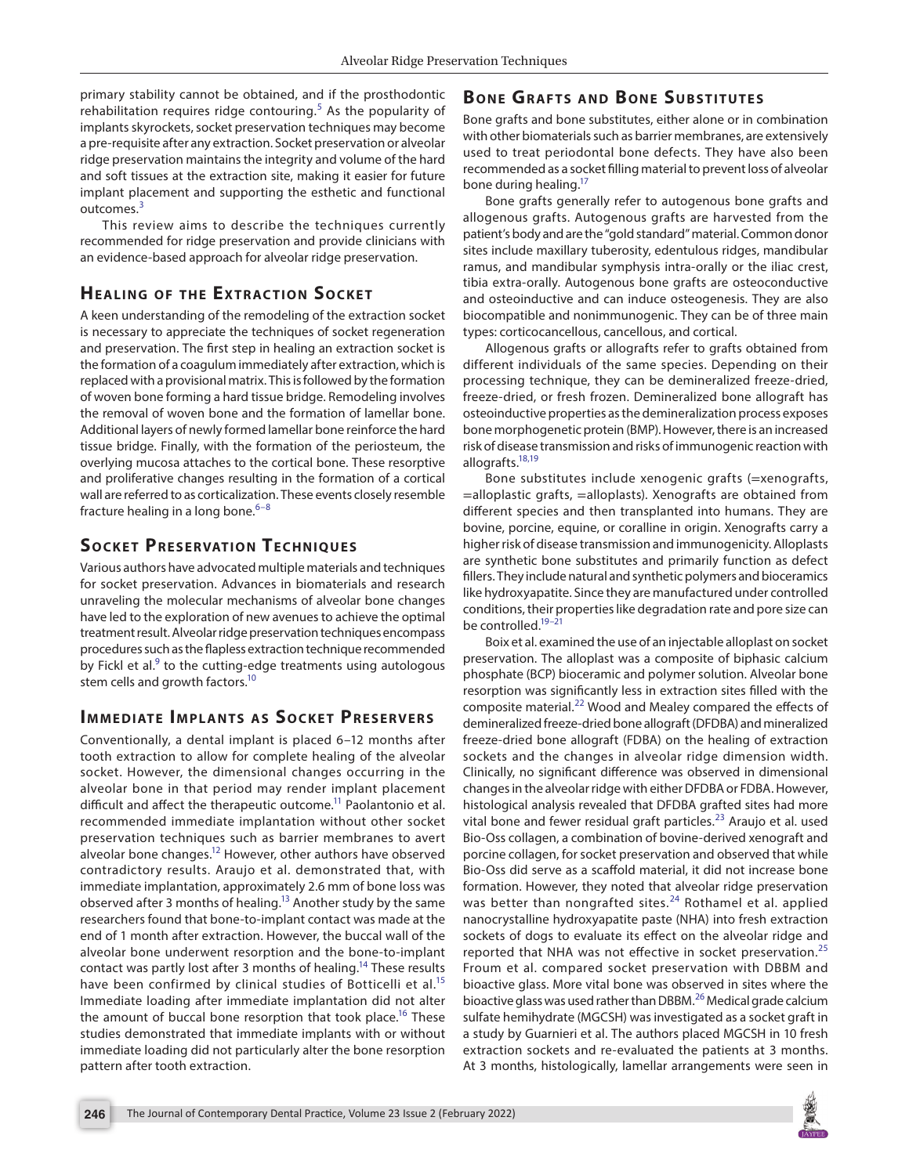primary stability cannot be obtained, and if the prosthodontic rehabilitation requires ridge contouring.<sup>[5](#page-4-4)</sup> As the popularity of implants skyrockets, socket preservation techniques may become a pre-requisite after any extraction. Socket preservation or alveolar ridge preservation maintains the integrity and volume of the hard and soft tissues at the extraction site, making it easier for future implant placement and supporting the esthetic and functional outcomes<sup>[3](#page-4-2)</sup>

This review aims to describe the techniques currently recommended for ridge preservation and provide clinicians with an evidence-based approach for alveolar ridge preservation.

# **HEALING OF THE EXTRACTION SOCKET**

A keen understanding of the remodeling of the extraction socket is necessary to appreciate the techniques of socket regeneration and preservation. The first step in healing an extraction socket is the formation of a coagulum immediately after extraction, which is replaced with a provisional matrix. This is followed by the formation of woven bone forming a hard tissue bridge. Remodeling involves the removal of woven bone and the formation of lamellar bone. Additional layers of newly formed lamellar bone reinforce the hard tissue bridge. Finally, with the formation of the periosteum, the overlying mucosa attaches to the cortical bone. These resorptive and proliferative changes resulting in the formation of a cortical wall are referred to as corticalization. These events closely resemble fracture healing in a long bone. $6-8$  $6-8$ 

## **SOCKET PRESERVATION TECHNIQUES**

Various authors have advocated multiple materials and techniques for socket preservation. Advances in biomaterials and research unraveling the molecular mechanisms of alveolar bone changes have led to the exploration of new avenues to achieve the optimal treatment result. Alveolar ridge preservation techniques encompass procedures such as the flapless extraction technique recommended by Fickl et al. $9$  to the cutting-edge treatments using autologous stem cells and growth factors.<sup>10</sup>

## **IMMEDIATE IMPLANTS AS SOCKET PRESERVERS**

Conventionally, a dental implant is placed 6–12 months after tooth extraction to allow for complete healing of the alveolar socket. However, the dimensional changes occurring in the alveolar bone in that period may render implant placement difficult and affect the therapeutic outcome.<sup>11</sup> Paolantonio et al. recommended immediate implantation without other socket preservation techniques such as barrier membranes to avert alveolar bone changes.<sup>12</sup> However, other authors have observed contradictory results. Araujo et al. demonstrated that, with immediate implantation, approximately 2.6 mm of bone loss was observed after 3 months of healing.<sup>13</sup> Another study by the same researchers found that bone-to-implant contact was made at the end of 1 month after extraction. However, the buccal wall of the alveolar bone underwent resorption and the bone-to-implant contact was partly lost after 3 months of healing.<sup>14</sup> These results have been confirmed by clinical studies of Botticelli et al.<sup>[15](#page-4-13)</sup> Immediate loading after immediate implantation did not alter the amount of buccal bone resorption that took place.<sup>16</sup> These studies demonstrated that immediate implants with or without immediate loading did not particularly alter the bone resorption pattern after tooth extraction.

# **BONE GRAFTS AND BONE SUBSTITUTES**

Bone grafts and bone substitutes, either alone or in combination with other biomaterials such as barrier membranes, are extensively used to treat periodontal bone defects. They have also been recommended as a socket filling material to prevent loss of alveolar bone during healing.<sup>17</sup>

Bone grafts generally refer to autogenous bone grafts and allogenous grafts. Autogenous grafts are harvested from the patient's body and are the "gold standard" material. Common donor sites include maxillary tuberosity, edentulous ridges, mandibular ramus, and mandibular symphysis intra-orally or the iliac crest, tibia extra-orally. Autogenous bone grafts are osteoconductive and osteoinductive and can induce osteogenesis. They are also biocompatible and nonimmunogenic. They can be of three main types: corticocancellous, cancellous, and cortical.

Allogenous grafts or allografts refer to grafts obtained from different individuals of the same species. Depending on their processing technique, they can be demineralized freeze-dried, freeze-dried, or fresh frozen. Demineralized bone allograft has osteoinductive properties as the demineralization process exposes bone morphogenetic protein (BMP). However, there is an increased risk of disease transmission and risks of immunogenic reaction with allografts.<sup>18,[19](#page-4-17)</sup>

Bone substitutes include xenogenic grafts (=xenografts, =alloplastic grafts, =alloplasts). Xenografts are obtained from different species and then transplanted into humans. They are bovine, porcine, equine, or coralline in origin. Xenografts carry a higher risk of disease transmission and immunogenicity. Alloplasts are synthetic bone substitutes and primarily function as defect fillers. They include natural and synthetic polymers and bioceramics like hydroxyapatite. Since they are manufactured under controlled conditions, their properties like degradation rate and pore size can be controlled.<sup>19-21</sup>

Boix et al. examined the use of an injectable alloplast on socket preservation. The alloplast was a composite of biphasic calcium phosphate (BCP) bioceramic and polymer solution. Alveolar bone resorption was significantly less in extraction sites filled with the composite material.<sup>22</sup> Wood and Mealey compared the effects of demineralized freeze-dried bone allograft (DFDBA) and mineralized freeze-dried bone allograft (FDBA) on the healing of extraction sockets and the changes in alveolar ridge dimension width. Clinically, no significant difference was observed in dimensional changes in the alveolar ridge with either DFDBA or FDBA. However, histological analysis revealed that DFDBA grafted sites had more vital bone and fewer residual graft particles.<sup>[23](#page-4-20)</sup> Araujo et al. used Bio-Oss collagen, a combination of bovine-derived xenograft and porcine collagen, for socket preservation and observed that while Bio-Oss did serve as a scaffold material, it did not increase bone formation. However, they noted that alveolar ridge preservation was better than nongrafted sites.<sup>[24](#page-4-21)</sup> Rothamel et al. applied nanocrystalline hydroxyapatite paste (NHA) into fresh extraction sockets of dogs to evaluate its effect on the alveolar ridge and reported that NHA was not effective in socket preservation.<sup>[25](#page-4-22)</sup> Froum et al. compared socket preservation with DBBM and bioactive glass. More vital bone was observed in sites where the bioactive glass was used rather than DBBM.<sup>26</sup> Medical grade calcium sulfate hemihydrate (MGCSH) was investigated as a socket graft in a study by Guarnieri et al. The authors placed MGCSH in 10 fresh extraction sockets and re-evaluated the patients at 3 months. At 3 months, histologically, lamellar arrangements were seen in

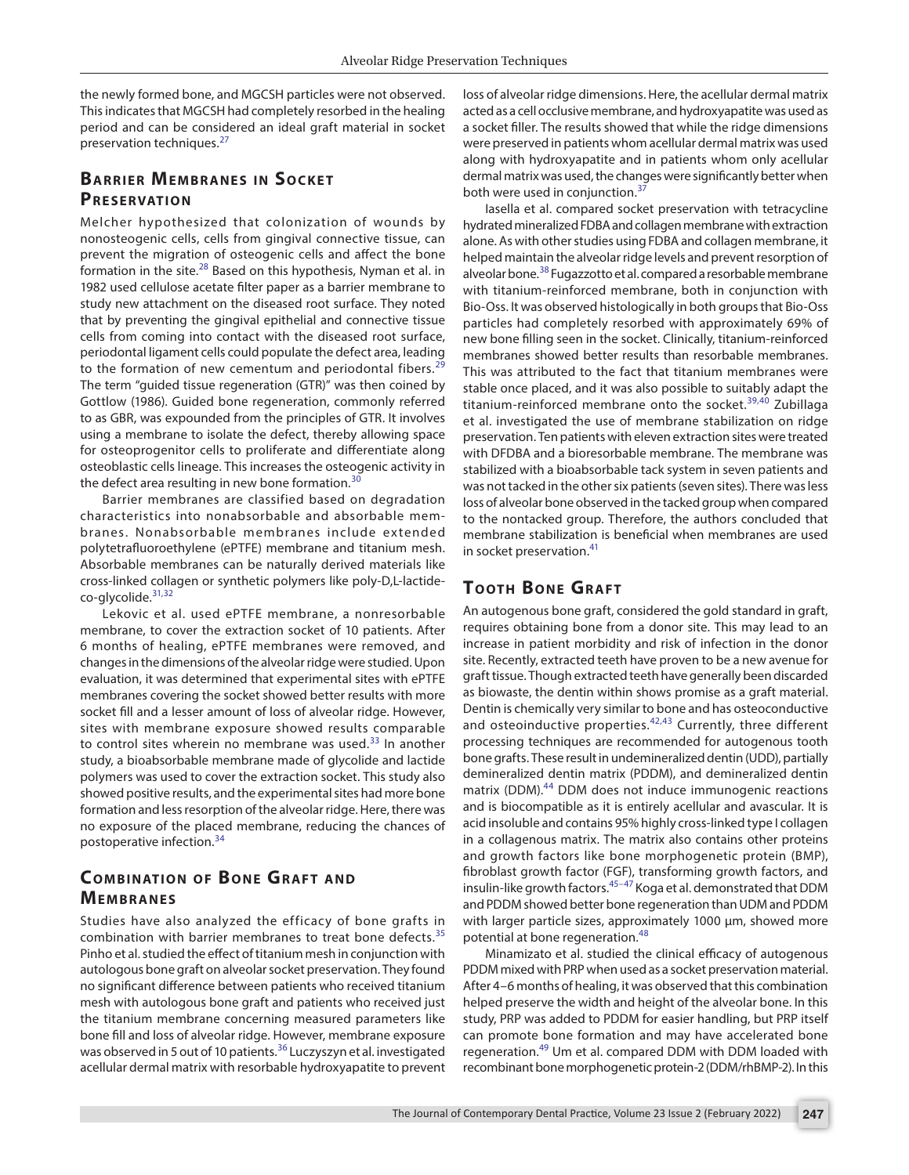the newly formed bone, and MGCSH particles were not observed. This indicates that MGCSH had completely resorbed in the healing period and can be considered an ideal graft material in socket preservation techniques.<sup>[27](#page-4-24)</sup>

## **BARRIER MEMBRANES IN SOCKET PRESERVATION**

Melcher hypothesized that colonization of wounds by nonosteogenic cells, cells from gingival connective tissue, can prevent the migration of osteogenic cells and affect the bone formation in the site.<sup>[28](#page-4-25)</sup> Based on this hypothesis, Nyman et al. in 1982 used cellulose acetate filter paper as a barrier membrane to study new attachment on the diseased root surface. They noted that by preventing the gingival epithelial and connective tissue cells from coming into contact with the diseased root surface, periodontal ligament cells could populate the defect area, leading to the formation of new cementum and periodontal fibers.<sup>[29](#page-4-26)</sup> The term "guided tissue regeneration (GTR)" was then coined by Gottlow (1986). Guided bone regeneration, commonly referred to as GBR, was expounded from the principles of GTR. It involves using a membrane to isolate the defect, thereby allowing space for osteoprogenitor cells to proliferate and differentiate along osteoblastic cells lineage. This increases the osteogenic activity in the defect area resulting in new bone formation.<sup>[30](#page-4-27)</sup>

Barrier membranes are classified based on degradation characteristics into nonabsorbable and absorbable membranes. Nonabsorbable membranes include ex tended polytetrafluoroethylene (ePTFE) membrane and titanium mesh. Absorbable membranes can be naturally derived materials like cross-linked collagen or synthetic polymers like poly-D,L-lactideco-glycolide.[31,](#page-4-28)[32](#page-4-29)

Lekovic et al. used ePTFE membrane, a nonresorbable membrane, to cover the extraction socket of 10 patients. After 6 months of healing, ePTFE membranes were removed, and changes in the dimensions of the alveolar ridge were studied. Upon evaluation, it was determined that experimental sites with ePTFE membranes covering the socket showed better results with more socket fill and a lesser amount of loss of alveolar ridge. However, sites with membrane exposure showed results comparable to control sites wherein no membrane was used. $33$  In another study, a bioabsorbable membrane made of glycolide and lactide polymers was used to cover the extraction socket. This study also showed positive results, and the experimental sites had more bone formation and less resorption of the alveolar ridge. Here, there was no exposure of the placed membrane, reducing the chances of postoperative infection.[34](#page-4-31)

## **COMBINATION OF BONE GRAFT AND MEMBRANES**

Studies have also analyzed the efficacy of bone grafts in combination with barrier membranes to treat bone defects. $35$ Pinho et al. studied the effect of titanium mesh in conjunction with autologous bone graft on alveolar socket preservation. They found no significant difference between patients who received titanium mesh with autologous bone graft and patients who received just the titanium membrane concerning measured parameters like bone fill and loss of alveolar ridge. However, membrane exposure was observed in 5 out of 10 patients.<sup>36</sup> Luczyszyn et al. investigated acellular dermal matrix with resorbable hydroxyapatite to prevent

loss of alveolar ridge dimensions. Here, the acellular dermal matrix acted as a cell occlusive membrane, and hydroxyapatite was used as a socket filler. The results showed that while the ridge dimensions were preserved in patients whom acellular dermal matrix was used along with hydroxyapatite and in patients whom only acellular dermal matrix was used, the changes were significantly better when both were used in conjunction.<sup>[37](#page-5-1)</sup>

Iasella et al. compared socket preservation with tetracycline hydrated mineralized FDBA and collagen membrane with extraction alone. As with other studies using FDBA and collagen membrane, it helped maintain the alveolar ridge levels and prevent resorption of alveolar bone.<sup>38</sup> Fugazzotto et al. compared a resorbable membrane with titanium-reinforced membrane, both in conjunction with Bio-Oss. It was observed histologically in both groups that Bio-Oss particles had completely resorbed with approximately 69% of new bone filling seen in the socket. Clinically, titanium-reinforced membranes showed better results than resorbable membranes. This was attributed to the fact that titanium membranes were stable once placed, and it was also possible to suitably adapt the titanium-reinforced membrane onto the socket.<sup>[39](#page-5-3),40</sup> Zubillaga et al. investigated the use of membrane stabilization on ridge preservation. Ten patients with eleven extraction sites were treated with DFDBA and a bioresorbable membrane. The membrane was stabilized with a bioabsorbable tack system in seven patients and was not tacked in the other six patients (seven sites). There was less loss of alveolar bone observed in the tacked group when compared to the nontacked group. Therefore, the authors concluded that membrane stabilization is beneficial when membranes are used in socket preservation.<sup>[41](#page-5-5)</sup>

#### **TOOTH BONE GRAFT**

An autogenous bone graft, considered the gold standard in graft, requires obtaining bone from a donor site. This may lead to an increase in patient morbidity and risk of infection in the donor site. Recently, extracted teeth have proven to be a new avenue for graft tissue. Though extracted teeth have generally been discarded as biowaste, the dentin within shows promise as a graft material. Dentin is chemically very similar to bone and has osteoconductive and osteoinductive properties. $42,43$  $42,43$  Currently, three different processing techniques are recommended for autogenous tooth bone grafts. These result in undemineralized dentin (UDD), partially demineralized dentin matrix (PDDM), and demineralized dentin matrix (DDM).<sup>[44](#page-5-8)</sup> DDM does not induce immunogenic reactions and is biocompatible as it is entirely acellular and avascular. It is acid insoluble and contains 95% highly cross-linked type I collagen in a collagenous matrix. The matrix also contains other proteins and growth factors like bone morphogenetic protein (BMP), fibroblast growth factor (FGF), transforming growth factors, and insulin-like growth factors.<sup>[45](#page-5-9)-47</sup> Koga et al. demonstrated that DDM and PDDM showed better bone regeneration than UDM and PDDM with larger particle sizes, approximately 1000 µm, showed more potential at bone regeneration.<sup>[48](#page-5-11)</sup>

Minamizato et al. studied the clinical efficacy of autogenous PDDM mixed with PRP when used as a socket preservation material. After 4–6 months of healing, it was observed that this combination helped preserve the width and height of the alveolar bone. In this study, PRP was added to PDDM for easier handling, but PRP itself can promote bone formation and may have accelerated bone regeneration.<sup>49</sup> Um et al. compared DDM with DDM loaded with recombinant bone morphogenetic protein-2 (DDM/rhBMP-2). In this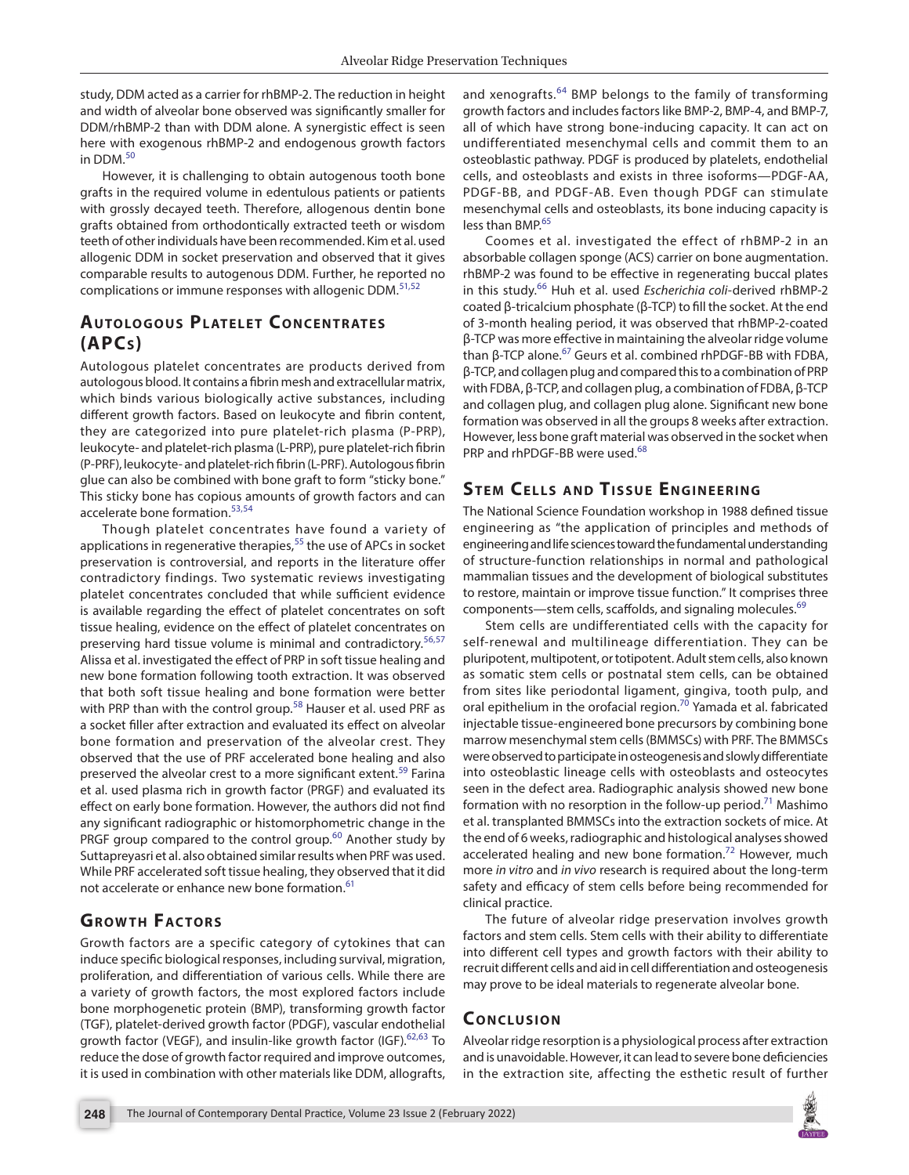study, DDM acted as a carrier for rhBMP-2. The reduction in height and width of alveolar bone observed was significantly smaller for DDM/rhBMP-2 than with DDM alone. A synergistic effect is seen here with exogenous rhBMP-2 and endogenous growth factors in DDM.<sup>[50](#page-5-13)</sup>

However, it is challenging to obtain autogenous tooth bone grafts in the required volume in edentulous patients or patients with grossly decayed teeth. Therefore, allogenous dentin bone grafts obtained from orthodontically extracted teeth or wisdom teeth of other individuals have been recommended. Kim et al. used allogenic DDM in socket preservation and observed that it gives comparable results to autogenous DDM. Further, he reported no complications or immune responses with allogenic DDM.<sup>[51](#page-5-14),[52](#page-5-15)</sup>

## **AUTOLOGOUS PLATELET CONCENTRATES (APCs)**

Autologous platelet concentrates are products derived from autologous blood. It contains a fibrin mesh and extracellular matrix, which binds various biologically active substances, including different growth factors. Based on leukocyte and fibrin content, they are categorized into pure platelet-rich plasma (P-PRP), leukocyte- and platelet-rich plasma (L-PRP), pure platelet-rich fibrin (P-PRF), leukocyte- and platelet-rich fibrin (L-PRF). Autologous fibrin glue can also be combined with bone graft to form "sticky bone." This sticky bone has copious amounts of growth factors and can accelerate bone formation.[53](#page-5-16),[54](#page-5-17)

Though platelet concentrates have found a variety of applications in regenerative therapies, $55$  the use of APCs in socket preservation is controversial, and reports in the literature offer contradictory findings. Two systematic reviews investigating platelet concentrates concluded that while sufficient evidence is available regarding the effect of platelet concentrates on soft tissue healing, evidence on the effect of platelet concentrates on preserving hard tissue volume is minimal and contradictory.<sup>[56](#page-5-19),[57](#page-5-20)</sup> Alissa et al. investigated the effect of PRP in soft tissue healing and new bone formation following tooth extraction. It was observed that both soft tissue healing and bone formation were better with PRP than with the control group.<sup>[58](#page-5-21)</sup> Hauser et al. used PRF as a socket filler after extraction and evaluated its effect on alveolar bone formation and preservation of the alveolar crest. They observed that the use of PRF accelerated bone healing and also preserved the alveolar crest to a more significant extent.<sup>59</sup> Farina et al. used plasma rich in growth factor (PRGF) and evaluated its effect on early bone formation. However, the authors did not find any significant radiographic or histomorphometric change in the PRGF group compared to the control group. $60$  Another study by Suttapreyasri et al. also obtained similar results when PRF was used. While PRF accelerated soft tissue healing, they observed that it did not accelerate or enhance new bone formation.<sup>[61](#page-5-24)</sup>

# **GROWTH FACTORS**

Growth factors are a specific category of cytokines that can induce specific biological responses, including survival, migration, proliferation, and differentiation of various cells. While there are a variety of growth factors, the most explored factors include bone morphogenetic protein (BMP), transforming growth factor (TGF), platelet-derived growth factor (PDGF), vascular endothelial growth factor (VEGF), and insulin-like growth factor (IGF).<sup>[62,](#page-5-25)[63](#page-5-26)</sup> To reduce the dose of growth factor required and improve outcomes, it is used in combination with other materials like DDM, allografts,

and xenografts.<sup>64</sup> BMP belongs to the family of transforming growth factors and includes factors like BMP-2, BMP-4, and BMP-7, all of which have strong bone-inducing capacity. It can act on undifferentiated mesenchymal cells and commit them to an osteoblastic pathway. PDGF is produced by platelets, endothelial cells, and osteoblasts and exists in three isoforms—PDGF-AA, PDGF-BB, and PDGF-AB. Even though PDGF can stimulate mesenchymal cells and osteoblasts, its bone inducing capacity is less than BMP.<sup>[65](#page-5-28)</sup>

Coomes et al. investigated the effect of rhBMP-2 in an absorbable collagen sponge (ACS) carrier on bone augmentation. rhBMP-2 was found to be effective in regenerating buccal plates in this study.[66](#page-5-29) Huh et al. used *Escherichia coli*-derived rhBMP-2 coated β-tricalcium phosphate (β-TCP) to fill the socket. At the end of 3-month healing period, it was observed that rhBMP-2-coated β-TCP was more effective in maintaining the alveolar ridge volume than β-TCP alone.[67](#page-5-30) Geurs et al. combined rhPDGF-BB with FDBA, β-TCP, and collagen plug and compared this to a combination of PRP with FDBA, β-TCP, and collagen plug, a combination of FDBA, β-TCP and collagen plug, and collagen plug alone. Significant new bone formation was observed in all the groups 8 weeks after extraction. However, less bone graft material was observed in the socket when PRP and rhPDGF-BB were used.<sup>[68](#page-5-31)</sup>

# **STEM CELLS AND TISSUE ENGINEERING**

The National Science Foundation workshop in 1988 defined tissue engineering as "the application of principles and methods of engineering and life sciences toward the fundamental understanding of structure-function relationships in normal and pathological mammalian tissues and the development of biological substitutes to restore, maintain or improve tissue function." It comprises three components—stem cells, scaffolds, and signaling molecules.<sup>[69](#page-5-32)</sup>

Stem cells are undifferentiated cells with the capacity for self-renewal and multilineage differentiation. They can be pluripotent, multipotent, or totipotent. Adult stem cells, also known as somatic stem cells or postnatal stem cells, can be obtained from sites like periodontal ligament, gingiva, tooth pulp, and oral epithelium in the orofacial region.<sup>[70](#page-5-33)</sup> Yamada et al. fabricated injectable tissue-engineered bone precursors by combining bone marrow mesenchymal stem cells (BMMSCs) with PRF. The BMMSCs were observed to participate in osteogenesis and slowly differentiate into osteoblastic lineage cells with osteoblasts and osteocytes seen in the defect area. Radiographic analysis showed new bone formation with no resorption in the follow-up period.<sup>71</sup> Mashimo et al. transplanted BMMSCs into the extraction sockets of mice. At the end of 6 weeks, radiographic and histological analyses showed accelerated healing and new bone formation.<sup>[72](#page-5-35)</sup> However, much more *in vitro* and *in vivo* research is required about the long-term safety and efficacy of stem cells before being recommended for clinical practice.

The future of alveolar ridge preservation involves growth factors and stem cells. Stem cells with their ability to differentiate into different cell types and growth factors with their ability to recruit different cells and aid in cell differentiation and osteogenesis may prove to be ideal materials to regenerate alveolar bone.

#### **CONCLUSION**

Alveolar ridge resorption is a physiological process after extraction and is unavoidable. However, it can lead to severe bone deficiencies in the extraction site, affecting the esthetic result of further

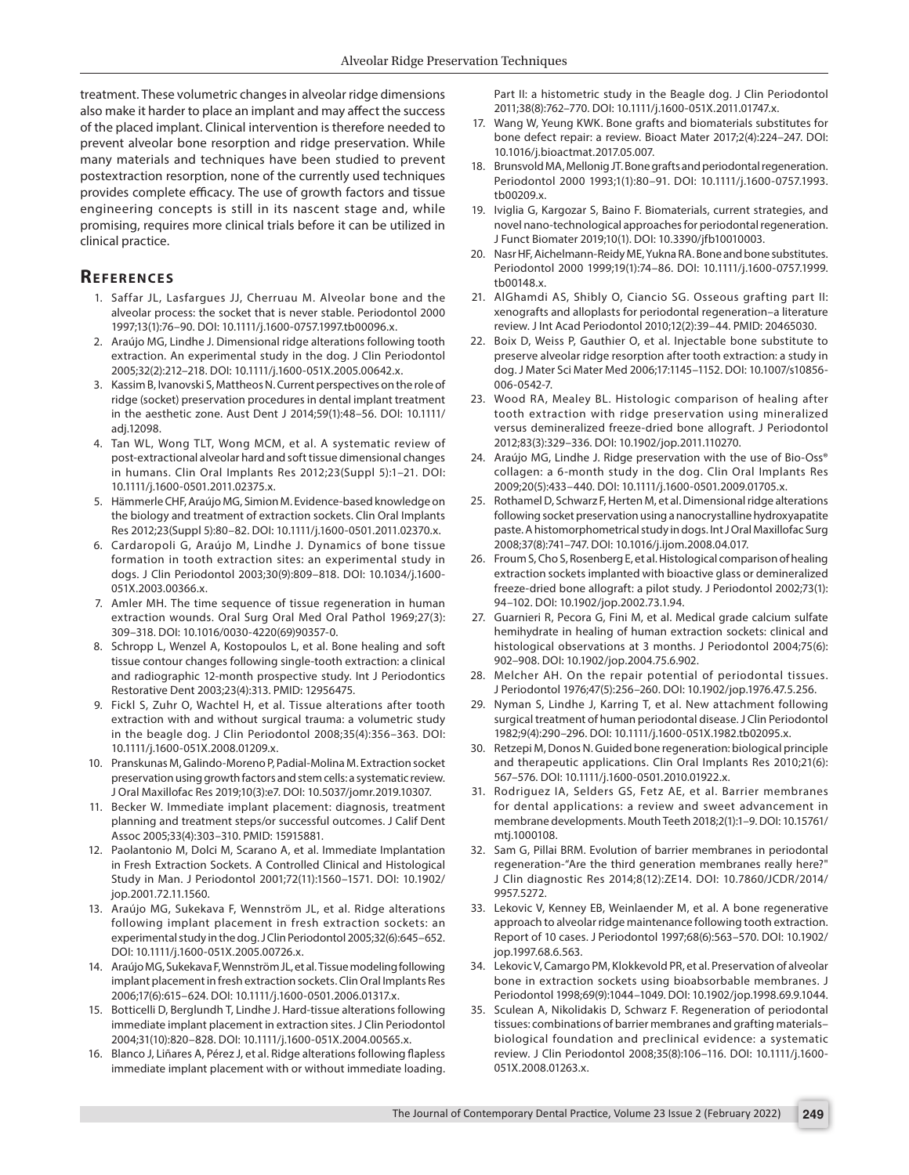treatment. These volumetric changes in alveolar ridge dimensions also make it harder to place an implant and may affect the success of the placed implant. Clinical intervention is therefore needed to prevent alveolar bone resorption and ridge preservation. While many materials and techniques have been studied to prevent postextraction resorption, none of the currently used techniques provides complete efficacy. The use of growth factors and tissue engineering concepts is still in its nascent stage and, while promising, requires more clinical trials before it can be utilized in clinical practice.

#### **REFERENCES**

- <span id="page-4-0"></span>1. Saffar JL, Lasfargues JJ, Cherruau M. Alveolar bone and the alveolar process: the socket that is never stable. Periodontol 2000 1997;13(1):76–90. DOI: 10.1111/j.1600-0757.1997.tb00096.x.
- <span id="page-4-1"></span>2. Araújo MG, Lindhe J. Dimensional ridge alterations following tooth extraction. An experimental study in the dog. J Clin Periodontol 2005;32(2):212–218. DOI: 10.1111/j.1600-051X.2005.00642.x.
- <span id="page-4-2"></span>3. Kassim B, Ivanovski S, Mattheos N. Current perspectives on the role of ridge (socket) preservation procedures in dental implant treatment in the aesthetic zone. Aust Dent J 2014;59(1):48–56. DOI: 10.1111/ adi.12098.
- <span id="page-4-3"></span>4. Tan WL, Wong TLT, Wong MCM, et al. A systematic review of post-extractional alveolar hard and soft tissue dimensional changes in humans. Clin Oral Implants Res 2012;23(Suppl 5):1–21. DOI: 10.1111/j.1600-0501.2011.02375.x.
- <span id="page-4-4"></span>5. Hämmerle CHF, Araújo MG, Simion M. Evidence-based knowledge on the biology and treatment of extraction sockets. Clin Oral Implants Res 2012;23(Suppl 5):80–82. DOI: 10.1111/j.1600-0501.2011.02370.x.
- <span id="page-4-5"></span>6. Cardaropoli G, Araújo M, Lindhe J. Dynamics of bone tissue formation in tooth extraction sites: an experimental study in dogs. J Clin Periodontol 2003;30(9):809–818. DOI: 10.1034/j.1600- 051X.2003.00366.x.
- 7. Amler MH. The time sequence of tissue regeneration in human extraction wounds. Oral Surg Oral Med Oral Pathol 1969;27(3): 309–318. DOI: 10.1016/0030-4220(69)90357-0.
- <span id="page-4-6"></span>8. Schropp L, Wenzel A, Kostopoulos L, et al. Bone healing and soft tissue contour changes following single-tooth extraction: a clinical and radiographic 12-month prospective study. Int J Periodontics Restorative Dent 2003;23(4):313. PMID: 12956475.
- <span id="page-4-7"></span>9. Fickl S, Zuhr O, Wachtel H, et al. Tissue alterations after tooth extraction with and without surgical trauma: a volumetric study in the beagle dog. J Clin Periodontol 2008;35(4):356–363. DOI: 10.1111/j.1600-051X.2008.01209.x.
- <span id="page-4-8"></span>10. Pranskunas M, Galindo-Moreno P, Padial-Molina M. Extraction socket preservation using growth factors and stem cells: a systematic review. J Oral Maxillofac Res 2019;10(3):e7. DOI: 10.5037/jomr.2019.10307.
- <span id="page-4-9"></span>11. Becker W. Immediate implant placement: diagnosis, treatment planning and treatment steps/or successful outcomes. J Calif Dent Assoc 2005;33(4):303–310. PMID: 15915881.
- <span id="page-4-10"></span>12. Paolantonio M, Dolci M, Scarano A, et al. Immediate Implantation in Fresh Extraction Sockets. A Controlled Clinical and Histological Study in Man. J Periodontol 2001;72(11):1560–1571. DOI: 10.1902/ jop.2001.72.11.1560.
- <span id="page-4-11"></span>13. Araújo MG, Sukekava F, Wennström JL, et al. Ridge alterations following implant placement in fresh extraction sockets: an experimental study in the dog. J Clin Periodontol 2005;32(6):645–652. DOI: 10.1111/j.1600-051X.2005.00726.x.
- <span id="page-4-12"></span>14. Araújo MG, Sukekava F, Wennström JL, et al. Tissue modeling following implant placement in fresh extraction sockets. Clin Oral Implants Res 2006;17(6):615–624. DOI: 10.1111/j.1600-0501.2006.01317.x.
- <span id="page-4-13"></span>15. Botticelli D, Berglundh T, Lindhe J. Hard-tissue alterations following immediate implant placement in extraction sites. J Clin Periodontol 2004;31(10):820–828. DOI: 10.1111/j.1600-051X.2004.00565.x.
- <span id="page-4-14"></span>16. Blanco J, Liñares A, Pérez J, et al. Ridge alterations following flapless immediate implant placement with or without immediate loading.

Part II: a histometric study in the Beagle dog. J Clin Periodontol 2011;38(8):762–770. DOI: 10.1111/j.1600-051X.2011.01747.x.

- <span id="page-4-15"></span>17. Wang W, Yeung KWK. Bone grafts and biomaterials substitutes for bone defect repair: a review. Bioact Mater 2017;2(4):224–247. DOI: 10.1016/j.bioactmat.2017.05.007.
- <span id="page-4-16"></span>18. Brunsvold MA, Mellonig JT. Bone grafts and periodontal regeneration. Periodontol 2000 1993;1(1):80–91. DOI: 10.1111/j.1600-0757.1993. tb00209.x.
- <span id="page-4-17"></span>19. Iviglia G, Kargozar S, Baino F. Biomaterials, current strategies, and novel nano-technological approaches for periodontal regeneration. J Funct Biomater 2019;10(1). DOI: 10.3390/jfb10010003.
- 20. Nasr HF, Aichelmann-Reidy ME, Yukna RA. Bone and bone substitutes. Periodontol 2000 1999;19(1):74–86. DOI: 10.1111/j.1600-0757.1999. tb00148.x.
- <span id="page-4-18"></span>21. AlGhamdi AS, Shibly O, Ciancio SG. Osseous grafting part II: xenografts and alloplasts for periodontal regeneration–a literature review. J Int Acad Periodontol 2010;12(2):39–44. PMID: 20465030.
- <span id="page-4-19"></span>22. Boix D, Weiss P, Gauthier O, et al. Injectable bone substitute to preserve alveolar ridge resorption after tooth extraction: a study in dog. J Mater Sci Mater Med 2006;17:1145–1152. DOI: 10.1007/s10856- 006-0542-7.
- <span id="page-4-20"></span>23. Wood RA, Mealey BL. Histologic comparison of healing after tooth extraction with ridge preservation using mineralized versus demineralized freeze-dried bone allograft. J Periodontol 2012;83(3):329–336. DOI: 10.1902/jop.2011.110270.
- <span id="page-4-21"></span>24. Araújo MG, Lindhe J. Ridge preservation with the use of Bio-Oss® collagen: a 6-month study in the dog. Clin Oral Implants Res 2009;20(5):433–440. DOI: 10.1111/j.1600-0501.2009.01705.x.
- <span id="page-4-22"></span>25. Rothamel D, Schwarz F, Herten M, et al. Dimensional ridge alterations following socket preservation using a nanocrystalline hydroxyapatite paste. A histomorphometrical study in dogs. Int J Oral Maxillofac Surg 2008;37(8):741–747. DOI: 10.1016/j.ijom.2008.04.017.
- <span id="page-4-23"></span>26. Froum S, Cho S, Rosenberg E, et al. Histological comparison of healing extraction sockets implanted with bioactive glass or demineralized freeze-dried bone allograft: a pilot study. J Periodontol 2002;73(1): 94–102. DOI: 10.1902/jop.2002.73.1.94.
- <span id="page-4-24"></span>27. Guarnieri R, Pecora G, Fini M, et al. Medical grade calcium sulfate hemihydrate in healing of human extraction sockets: clinical and histological observations at 3 months. J Periodontol 2004;75(6): 902–908. DOI: 10.1902/jop.2004.75.6.902.
- <span id="page-4-25"></span>28. Melcher AH. On the repair potential of periodontal tissues. J Periodontol 1976;47(5):256–260. DOI: 10.1902/jop.1976.47.5.256.
- <span id="page-4-26"></span>29. Nyman S, Lindhe J, Karring T, et al. New attachment following surgical treatment of human periodontal disease. J Clin Periodontol 1982;9(4):290–296. DOI: 10.1111/j.1600-051X.1982.tb02095.x.
- <span id="page-4-27"></span>30. Retzepi M, Donos N. Guided bone regeneration: biological principle and therapeutic applications. Clin Oral Implants Res 2010;21(6): 567–576. DOI: 10.1111/j.1600-0501.2010.01922.x.
- <span id="page-4-28"></span>31. Rodriguez IA, Selders GS, Fetz AE, et al. Barrier membranes for dental applications: a review and sweet advancement in membrane developments. Mouth Teeth 2018;2(1):1–9. DOI: 10.15761/ mti.1000108.
- <span id="page-4-29"></span>32. Sam G, Pillai BRM. Evolution of barrier membranes in periodontal regeneration-"Are the third generation membranes really here?" J Clin diagnostic Res 2014;8(12):ZE14. DOI: 10.7860/JCDR/2014/ 9957.5272.
- <span id="page-4-30"></span>33. Lekovic V, Kenney EB, Weinlaender M, et al. A bone regenerative approach to alveolar ridge maintenance following tooth extraction. Report of 10 cases. J Periodontol 1997;68(6):563–570. DOI: 10.1902/ jop.1997.68.6.563.
- <span id="page-4-31"></span>34. Lekovic V, Camargo PM, Klokkevold PR, et al. Preservation of alveolar bone in extraction sockets using bioabsorbable membranes. J Periodontol 1998;69(9):1044–1049. DOI: 10.1902/jop.1998.69.9.1044.
- <span id="page-4-32"></span>35. Sculean A, Nikolidakis D, Schwarz F. Regeneration of periodontal tissues: combinations of barrier membranes and grafting materials– biological foundation and preclinical evidence: a systematic review. J Clin Periodontol 2008;35(8):106–116. DOI: 10.1111/j.1600- 051X.2008.01263.x.